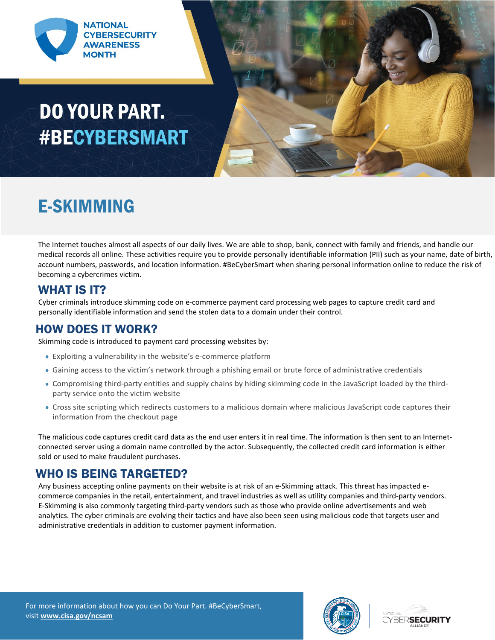

# **DO YOUR PART. #BECYBERSMART**



### E-SKIMMING

The Internet touches almost all aspects of our daily lives. We are able to shop, bank, connect with family and friends, and handle our medical records all online. These activities require you to provide personally identifiable information (PII) such as your name, date of birth, account numbers, passwords, and location information. #BeCyberSmart when sharing personal information online to reduce the risk of becoming a cybercrimes victim.

#### WHAT IS IT?

Cyber criminals introduce skimming code on e-commerce payment card processing web pages to capture credit card and personally identifiable information and send the stolen data to a domain under their control.

#### HOW DOES IT WORK?

Skimming code is introduced to payment card processing websites by:

- Exploiting a vulnerability in the website's e-commerce platform
- Gaining access to the victim's network through a phishing email or brute force of administrative credentials
- Compromising third-party entities and supply chains by hiding skimming code in the JavaScript loaded by the thirdparty service onto the victim website
- Cross site scripting which redirects customers to a malicious domain where malicious JavaScript code captures their information from the checkout page

The malicious code captures credit card data as the end user enters it in real time. The information is then sent to an Internetconnected server using a domain name controlled by the actor. Subsequently, the collected credit card information is either sold or used to make fraudulent purchases.

#### WHO IS BEING TARGETED?

Any business accepting online payments on their website is at risk of an e-Skimming attack. This threat has impacted ecommerce companies in the retail, entertainment, and travel industries as well as utility companies and third-party vendors. E-Skimming is also commonly targeting third-party vendors such as those who provide online advertisements and web analytics. The cyber criminals are evolving their tactics and have also been seen using malicious code that targets user and administrative credentials in addition to customer payment information.